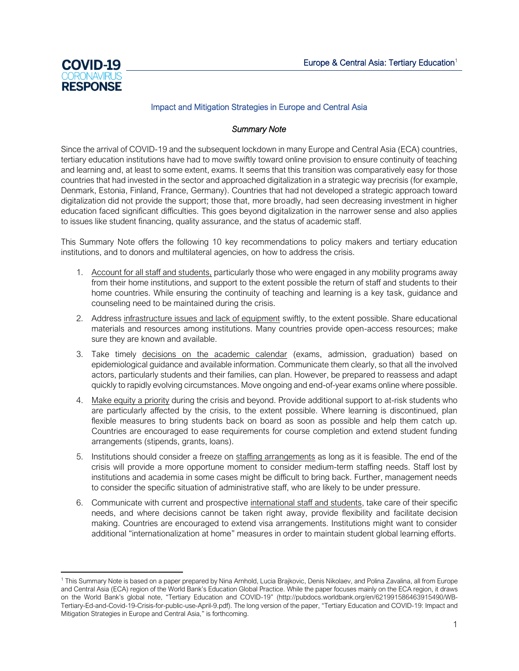

## Impact and Mitigation Strategies in Europe and Central Asia

## *Summary Note*

Since the arrival of COVID-19 and the subsequent lockdown in many Europe and Central Asia (ECA) countries, tertiary education institutions have had to move swiftly toward online provision to ensure continuity of teaching and learning and, at least to some extent, exams. It seems that this transition was comparatively easy for those countries that had invested in the sector and approached digitalization in a strategic way precrisis (for example, Denmark, Estonia, Finland, France, Germany). Countries that had not developed a strategic approach toward digitalization did not provide the support; those that, more broadly, had seen decreasing investment in higher education faced significant difficulties. This goes beyond digitalization in the narrower sense and also applies to issues like student financing, quality assurance, and the status of academic staff.

This Summary Note offers the following 10 key recommendations to policy makers and tertiary education institutions, and to donors and multilateral agencies, on how to address the crisis.

- 1. Account for all staff and students, particularly those who were engaged in any mobility programs away from their home institutions, and support to the extent possible the return of staff and students to their home countries. While ensuring the continuity of teaching and learning is a key task, guidance and counseling need to be maintained during the crisis.
- 2. Address infrastructure issues and lack of equipment swiftly, to the extent possible. Share educational materials and resources among institutions. Many countries provide open-access resources; make sure they are known and available.
- 3. Take timely decisions on the academic calendar (exams, admission, graduation) based on epidemiological guidance and available information. Communicate them clearly, so that all the involved actors, particularly students and their families, can plan. However, be prepared to reassess and adapt quickly to rapidly evolving circumstances. Move ongoing and end-of-year exams online where possible.
- 4. Make equity a priority during the crisis and beyond. Provide additional support to at-risk students who are particularly affected by the crisis, to the extent possible. Where learning is discontinued, plan flexible measures to bring students back on board as soon as possible and help them catch up. Countries are encouraged to ease requirements for course completion and extend student funding arrangements (stipends, grants, loans).
- 5. Institutions should consider a freeze on staffing arrangements as long as it is feasible. The end of the crisis will provide a more opportune moment to consider medium-term staffing needs. Staff lost by institutions and academia in some cases might be difficult to bring back. Further, management needs to consider the specific situation of administrative staff, who are likely to be under pressure.
- 6. Communicate with current and prospective international staff and students, take care of their specific needs, and where decisions cannot be taken right away, provide flexibility and facilitate decision making. Countries are encouraged to extend visa arrangements. Institutions might want to consider additional "internationalization at home" measures in order to maintain student global learning efforts.

<sup>1</sup> This Summary Note is based on a paper prepared by Nina Arnhold, Lucia Brajkovic, Denis Nikolaev, and Polina Zavalina, all from Europe and Central Asia (ECA) region of the World Bank's Education Global Practice. While the paper focuses mainly on the ECA region, it draws on the World Bank's global note, "Tertiary Education and COVID-19" ([http://pubdocs.worldbank.org/en/621991586463915490/WB-](http://pubdocs.worldbank.org/en/621991586463915490/WB-Tertiary-Ed-and-Covid-19-Crisis-for-public-use-April-9.pdf)[Tertiary-Ed-and-Covid-19-Crisis-for-public-use-April-9.pdf](http://pubdocs.worldbank.org/en/621991586463915490/WB-Tertiary-Ed-and-Covid-19-Crisis-for-public-use-April-9.pdf)). The long version of the paper, "Tertiary Education and COVID-19: Impact and Mitigation Strategies in Europe and Central Asia," is forthcoming.